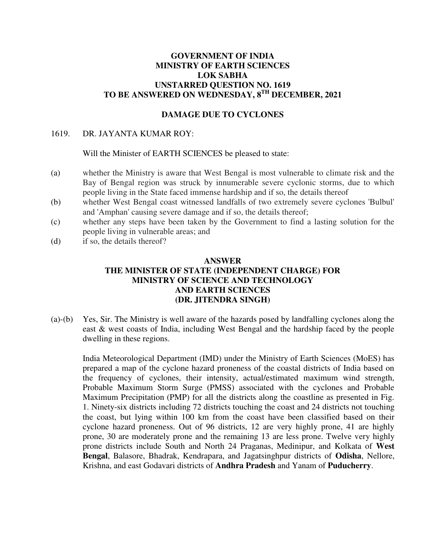## **GOVERNMENT OF INDIA MINISTRY OF EARTH SCIENCES LOK SABHA UNSTARRED QUESTION NO. 1619 TO BE ANSWERED ON WEDNESDAY, 8TH DECEMBER, 2021**

## **DAMAGE DUE TO CYCLONES**

### 1619. DR. JAYANTA KUMAR ROY:

### Will the Minister of EARTH SCIENCES be pleased to state:

- (a) whether the Ministry is aware that West Bengal is most vulnerable to climate risk and the Bay of Bengal region was struck by innumerable severe cyclonic storms, due to which people living in the State faced immense hardship and if so, the details thereof
- (b) whether West Bengal coast witnessed landfalls of two extremely severe cyclones 'Bulbul' and 'Amphan' causing severe damage and if so, the details thereof;
- (c) whether any steps have been taken by the Government to find a lasting solution for the people living in vulnerable areas; and
- (d) if so, the details thereof?

#### **ANSWER**

# **THE MINISTER OF STATE (INDEPENDENT CHARGE) FOR MINISTRY OF SCIENCE AND TECHNOLOGY AND EARTH SCIENCES (DR. JITENDRA SINGH)**

(a)-(b) Yes, Sir. The Ministry is well aware of the hazards posed by landfalling cyclones along the east & west coasts of India, including West Bengal and the hardship faced by the people dwelling in these regions.

India Meteorological Department (IMD) under the Ministry of Earth Sciences (MoES) has prepared a map of the cyclone hazard proneness of the coastal districts of India based on the frequency of cyclones, their intensity, actual/estimated maximum wind strength, Probable Maximum Storm Surge (PMSS) associated with the cyclones and Probable Maximum Precipitation (PMP) for all the districts along the coastline as presented in Fig. 1. Ninety-six districts including 72 districts touching the coast and 24 districts not touching the coast, but lying within 100 km from the coast have been classified based on their cyclone hazard proneness. Out of 96 districts, 12 are very highly prone, 41 are highly prone, 30 are moderately prone and the remaining 13 are less prone. Twelve very highly prone districts include South and North 24 Praganas, Medinipur, and Kolkata of **West Bengal**, Balasore, Bhadrak, Kendrapara, and Jagatsinghpur districts of **Odisha**, Nellore, Krishna, and east Godavari districts of **Andhra Pradesh** and Yanam of **Puducherry**.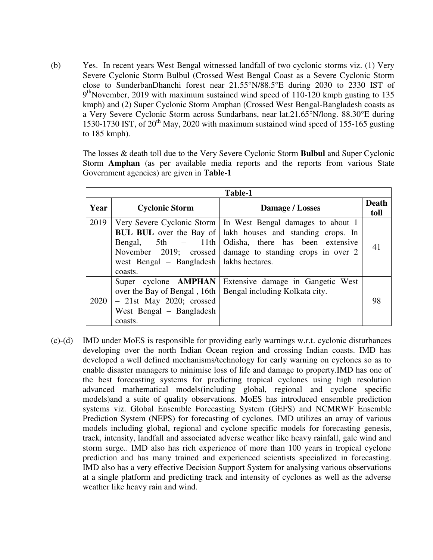(b) Yes. In recent years West Bengal witnessed landfall of two cyclonic storms viz. (1) Very Severe Cyclonic Storm Bulbul (Crossed West Bengal Coast as a Severe Cyclonic Storm close to SunderbanDhanchi forest near 21.55°N/88.5°E during 2030 to 2330 IST of 9<sup>th</sup>November, 2019 with maximum sustained wind speed of 110-120 kmph gusting to 135 kmph) and (2) Super Cyclonic Storm Amphan (Crossed West Bengal-Bangladesh coasts as a Very Severe Cyclonic Storm across Sundarbans, near lat.21.65°N/long. 88.30°E during 1530-1730 IST, of  $20<sup>th</sup>$  May, 2020 with maximum sustained wind speed of 155-165 gusting to 185 kmph).

The losses & death toll due to the Very Severe Cyclonic Storm **Bulbul** and Super Cyclonic Storm **Amphan** (as per available media reports and the reports from various State Government agencies) are given in **Table-1**

| Table-1 |                                                                                                                                  |                                                                                                                                                                                                                                        |               |
|---------|----------------------------------------------------------------------------------------------------------------------------------|----------------------------------------------------------------------------------------------------------------------------------------------------------------------------------------------------------------------------------------|---------------|
| Year    | <b>Cyclonic Storm</b>                                                                                                            | Damage / Losses                                                                                                                                                                                                                        | Death<br>toll |
| 2019    | Bengal, $5th$ - 11th<br>west Bengal $-$ Bangladesh   lakhs hectares.<br>coasts.                                                  | Very Severe Cyclonic Storm   In West Bengal damages to about 1<br><b>BUL BUL</b> over the Bay of   lakh houses and standing crops. In<br>Odisha, there has been extensive<br>November 2019; crossed damage to standing crops in over 2 | 41            |
| 2020    | Super cyclone <b>AMPHAN</b><br>over the Bay of Bengal, 16th<br>$-$ 21st May 2020; crossed<br>West Bengal – Bangladesh<br>coasts. | Extensive damage in Gangetic West<br>Bengal including Kolkata city.                                                                                                                                                                    | 98            |

(c)-(d) IMD under MoES is responsible for providing early warnings w.r.t. cyclonic disturbances developing over the north Indian Ocean region and crossing Indian coasts. IMD has developed a well defined mechanisms/technology for early warning on cyclones so as to enable disaster managers to minimise loss of life and damage to property.IMD has one of the best forecasting systems for predicting tropical cyclones using high resolution advanced mathematical models(including global, regional and cyclone specific models)and a suite of quality observations. MoES has introduced ensemble prediction systems viz. Global Ensemble Forecasting System (GEFS) and NCMRWF Ensemble Prediction System (NEPS) for forecasting of cyclones. IMD utilizes an array of various models including global, regional and cyclone specific models for forecasting genesis, track, intensity, landfall and associated adverse weather like heavy rainfall, gale wind and storm surge.. IMD also has rich experience of more than 100 years in tropical cyclone prediction and has many trained and experienced scientists specialized in forecasting. IMD also has a very effective Decision Support System for analysing various observations at a single platform and predicting track and intensity of cyclones as well as the adverse weather like heavy rain and wind.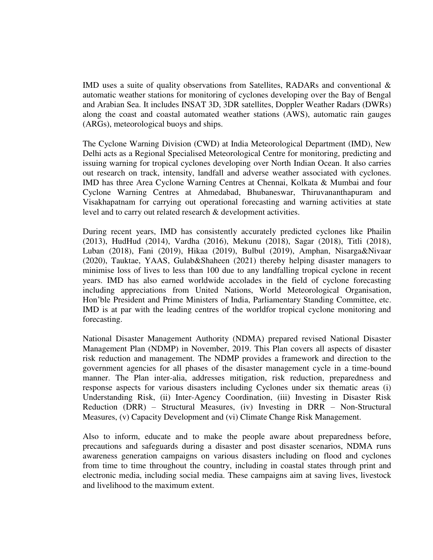IMD uses a suite of quality observations from Satellites, RADARs and conventional & automatic weather stations for monitoring of cyclones developing over the Bay of Bengal and Arabian Sea. It includes INSAT 3D, 3DR satellites, Doppler Weather Radars (DWRs) along the coast and coastal automated weather stations (AWS), automatic rain gauges (ARGs), meteorological buoys and ships.

The Cyclone Warning Division (CWD) at India Meteorological Department (IMD), New Delhi acts as a Regional Specialised Meteorological Centre for monitoring, predicting and issuing warning for tropical cyclones developing over North Indian Ocean. It also carries out research on track, intensity, landfall and adverse weather associated with cyclones. IMD has three Area Cyclone Warning Centres at Chennai, Kolkata & Mumbai and four Cyclone Warning Centres at Ahmedabad, Bhubaneswar, Thiruvananthapuram and Visakhapatnam for carrying out operational forecasting and warning activities at state level and to carry out related research & development activities.

During recent years, IMD has consistently accurately predicted cyclones like Phailin (2013), HudHud (2014), Vardha (2016), Mekunu (2018), Sagar (2018), Titli (2018), Luban (2018), Fani (2019), Hikaa (2019), Bulbul (2019), Amphan, Nisarga&Nivaar (2020), Tauktae, YAAS, Gulab&Shaheen (2021) thereby helping disaster managers to minimise loss of lives to less than 100 due to any landfalling tropical cyclone in recent years. IMD has also earned worldwide accolades in the field of cyclone forecasting including appreciations from United Nations, World Meteorological Organisation, Hon'ble President and Prime Ministers of India, Parliamentary Standing Committee, etc. IMD is at par with the leading centres of the worldfor tropical cyclone monitoring and forecasting.

National Disaster Management Authority (NDMA) prepared revised National Disaster Management Plan (NDMP) in November, 2019. This Plan covers all aspects of disaster risk reduction and management. The NDMP provides a framework and direction to the government agencies for all phases of the disaster management cycle in a time-bound manner. The Plan inter-alia, addresses mitigation, risk reduction, preparedness and response aspects for various disasters including Cyclones under six thematic areas (i) Understanding Risk, (ii) Inter-Agency Coordination, (iii) Investing in Disaster Risk Reduction (DRR) – Structural Measures, (iv) Investing in DRR – Non-Structural Measures, (v) Capacity Development and (vi) Climate Change Risk Management.

Also to inform, educate and to make the people aware about preparedness before, precautions and safeguards during a disaster and post disaster scenarios, NDMA runs awareness generation campaigns on various disasters including on flood and cyclones from time to time throughout the country, including in coastal states through print and electronic media, including social media. These campaigns aim at saving lives, livestock and livelihood to the maximum extent.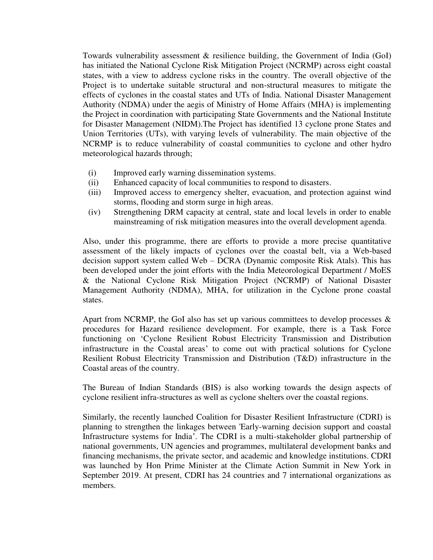Towards vulnerability assessment & resilience building, the Government of India (GoI) has initiated the National Cyclone Risk Mitigation Project (NCRMP) across eight coastal states, with a view to address cyclone risks in the country. The overall objective of the Project is to undertake suitable structural and non-structural measures to mitigate the effects of cyclones in the coastal states and UTs of India. National Disaster Management Authority (NDMA) under the aegis of Ministry of Home Affairs (MHA) is implementing the Project in coordination with participating State Governments and the National Institute for Disaster Management (NIDM).The Project has identified 13 cyclone prone States and Union Territories (UTs), with varying levels of vulnerability. The main objective of the NCRMP is to reduce vulnerability of coastal communities to cyclone and other hydro meteorological hazards through;

- (i) Improved early warning dissemination systems.
- (ii) Enhanced capacity of local communities to respond to disasters.
- (iii) Improved access to emergency shelter, evacuation, and protection against wind storms, flooding and storm surge in high areas.
- (iv) Strengthening DRM capacity at central, state and local levels in order to enable mainstreaming of risk mitigation measures into the overall development agenda.

Also, under this programme, there are efforts to provide a more precise quantitative assessment of the likely impacts of cyclones over the coastal belt, via a Web-based decision support system called Web – DCRA (Dynamic composite Risk Atals). This has been developed under the joint efforts with the India Meteorological Department / MoES & the National Cyclone Risk Mitigation Project (NCRMP) of National Disaster Management Authority (NDMA), MHA, for utilization in the Cyclone prone coastal states.

Apart from NCRMP, the GoI also has set up various committees to develop processes  $\&$ procedures for Hazard resilience development. For example, there is a Task Force functioning on 'Cyclone Resilient Robust Electricity Transmission and Distribution infrastructure in the Coastal areas' to come out with practical solutions for Cyclone Resilient Robust Electricity Transmission and Distribution (T&D) infrastructure in the Coastal areas of the country.

The Bureau of Indian Standards (BIS) is also working towards the design aspects of cyclone resilient infra-structures as well as cyclone shelters over the coastal regions.

Similarly, the recently launched Coalition for Disaster Resilient Infrastructure (CDRI) is planning to strengthen the linkages between 'Early-warning decision support and coastal Infrastructure systems for India'. The CDRI is a multi-stakeholder global partnership of national governments, UN agencies and programmes, multilateral development banks and financing mechanisms, the private sector, and academic and knowledge institutions. CDRI was launched by Hon Prime Minister at the Climate Action Summit in New York in September 2019. At present, CDRI has 24 countries and 7 international organizations as members.